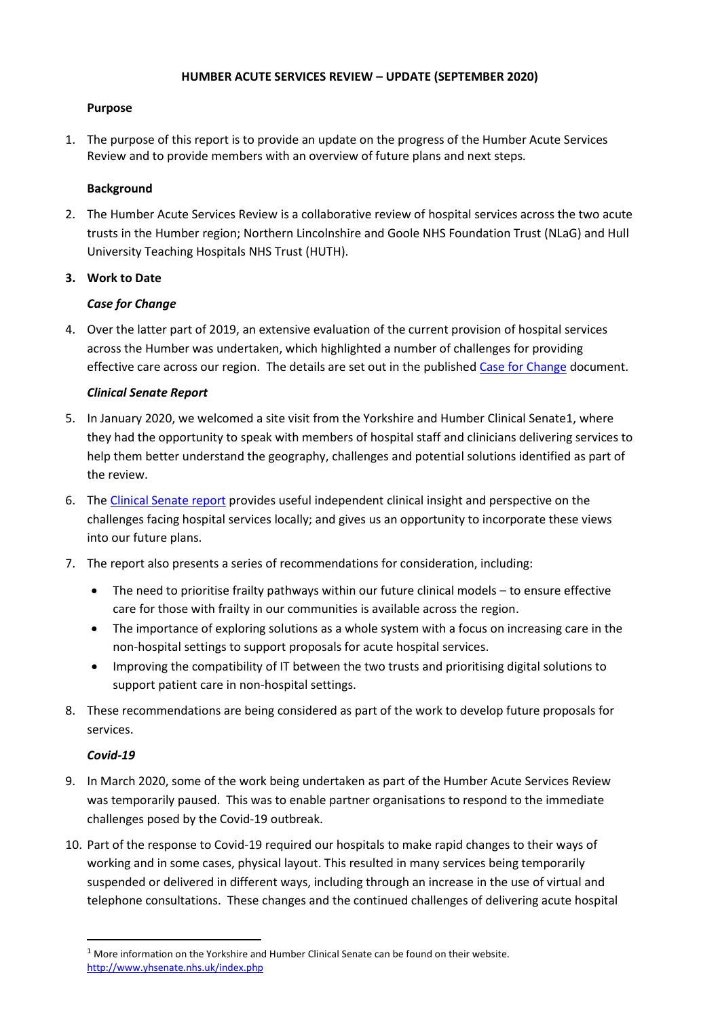# **HUMBER ACUTE SERVICES REVIEW – UPDATE (SEPTEMBER 2020)**

## **Purpose**

1. The purpose of this report is to provide an update on the progress of the Humber Acute Services Review and to provide members with an overview of future plans and next steps.

## **Background**

2. The Humber Acute Services Review is a collaborative review of hospital services across the two acute trusts in the Humber region; Northern Lincolnshire and Goole NHS Foundation Trust (NLaG) and Hull University Teaching Hospitals NHS Trust (HUTH).

### **3. Work to Date**

# *Case for Change*

4. Over the latter part of 2019, an extensive evaluation of the current provision of hospital services across the Humber was undertaken, which highlighted a number of challenges for providing effective care across our region. The details are set out in the publishe[d Case for Change](https://humbercoastandvale.org.uk/wp-content/uploads/2020/02/HASR-Long-Case-for-Change_Final-for-Publication.pdf) document.

### *Clinical Senate Report*

- 5. In January 2020, we welcomed a site visit from the Yorkshire and Humber Clinical Senate1, where they had the opportunity to speak with members of hospital staff and clinicians delivering services to help them better understand the geography, challenges and potential solutions identified as part of the review.
- 6. The [Clinical Senate report](http://www.yhsenate.nhs.uk/modules/reports/protected/files/YH%20Senate%20Report%20-%20HASR%20-%20Final%20May%202020.pdf) provides useful independent clinical insight and perspective on the challenges facing hospital services locally; and gives us an opportunity to incorporate these views into our future plans.
- 7. The report also presents a series of recommendations for consideration, including:
	- The need to prioritise frailty pathways within our future clinical models to ensure effective care for those with frailty in our communities is available across the region.
	- The importance of exploring solutions as a whole system with a focus on increasing care in the non-hospital settings to support proposals for acute hospital services.
	- Improving the compatibility of IT between the two trusts and prioritising digital solutions to support patient care in non-hospital settings.
- 8. These recommendations are being considered as part of the work to develop future proposals for services.

# *Covid-19*

- 9. In March 2020, some of the work being undertaken as part of the Humber Acute Services Review was temporarily paused. This was to enable partner organisations to respond to the immediate challenges posed by the Covid-19 outbreak.
- 10. Part of the response to Covid-19 required our hospitals to make rapid changes to their ways of working and in some cases, physical layout. This resulted in many services being temporarily suspended or delivered in different ways, including through an increase in the use of virtual and telephone consultations. These changes and the continued challenges of delivering acute hospital

 $1$  More information on the Yorkshire and Humber Clinical Senate can be found on their website. <http://www.yhsenate.nhs.uk/index.php>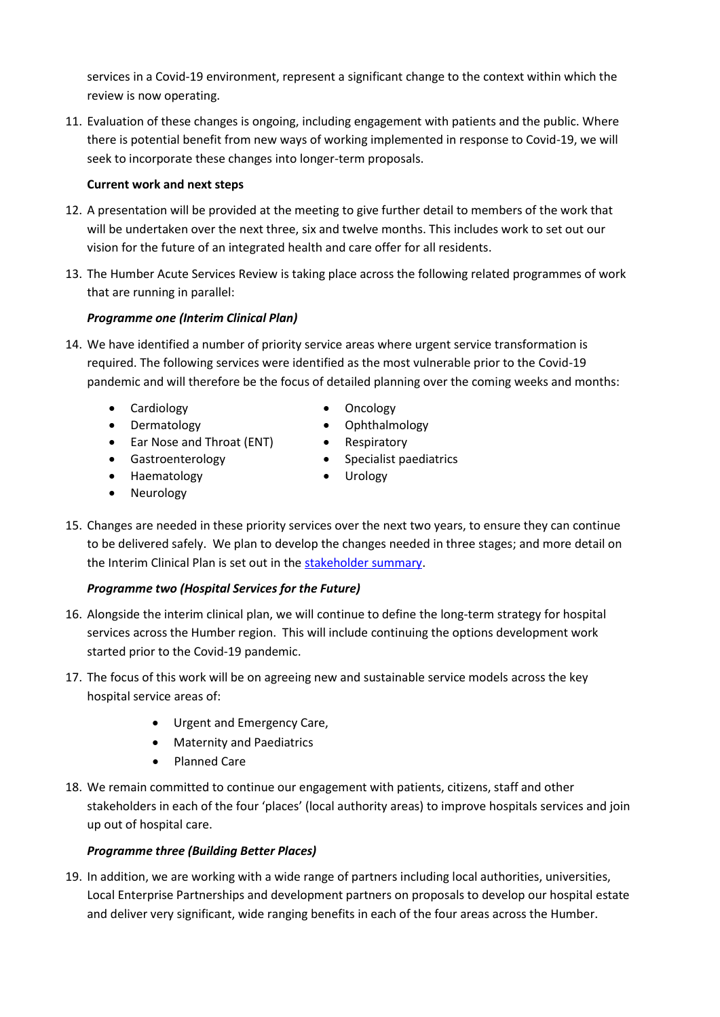services in a Covid-19 environment, represent a significant change to the context within which the review is now operating.

11. Evaluation of these changes is ongoing, including engagement with patients and the public. Where there is potential benefit from new ways of working implemented in response to Covid-19, we will seek to incorporate these changes into longer-term proposals.

# **Current work and next steps**

- 12. A presentation will be provided at the meeting to give further detail to members of the work that will be undertaken over the next three, six and twelve months. This includes work to set out our vision for the future of an integrated health and care offer for all residents.
- 13. The Humber Acute Services Review is taking place across the following related programmes of work that are running in parallel:

# *Programme one (Interim Clinical Plan)*

- 14. We have identified a number of priority service areas where urgent service transformation is required. The following services were identified as the most vulnerable prior to the Covid-19 pandemic and will therefore be the focus of detailed planning over the coming weeks and months:
	- Cardiology  **Cardiology**
	-
	- Ear Nose and Throat (ENT) Respiratory
- - Dermatology **•** Ophthalmology
		-
	- Gastroenterology Specialist paediatrics
	- Haematology Urology
		-
	- Neurology
- 15. Changes are needed in these priority services over the next two years, to ensure they can continue to be delivered safely. We plan to develop the changes needed in three stages; and more detail on the Interim Clinical Plan is set out in the [stakeholder summary.](https://humbercoastandvale.org.uk/wp-content/uploads/2020/09/Interim-Clinical-Plan_summary_final-version.pdf)

# *Programme two (Hospital Services for the Future)*

- 16. Alongside the interim clinical plan, we will continue to define the long-term strategy for hospital services across the Humber region. This will include continuing the options development work started prior to the Covid-19 pandemic.
- 17. The focus of this work will be on agreeing new and sustainable service models across the key hospital service areas of:
	- Urgent and Emergency Care,
	- Maternity and Paediatrics
	- Planned Care
- 18. We remain committed to continue our engagement with patients, citizens, staff and other stakeholders in each of the four 'places' (local authority areas) to improve hospitals services and join up out of hospital care.

# *Programme three (Building Better Places)*

19. In addition, we are working with a wide range of partners including local authorities, universities, Local Enterprise Partnerships and development partners on proposals to develop our hospital estate and deliver very significant, wide ranging benefits in each of the four areas across the Humber.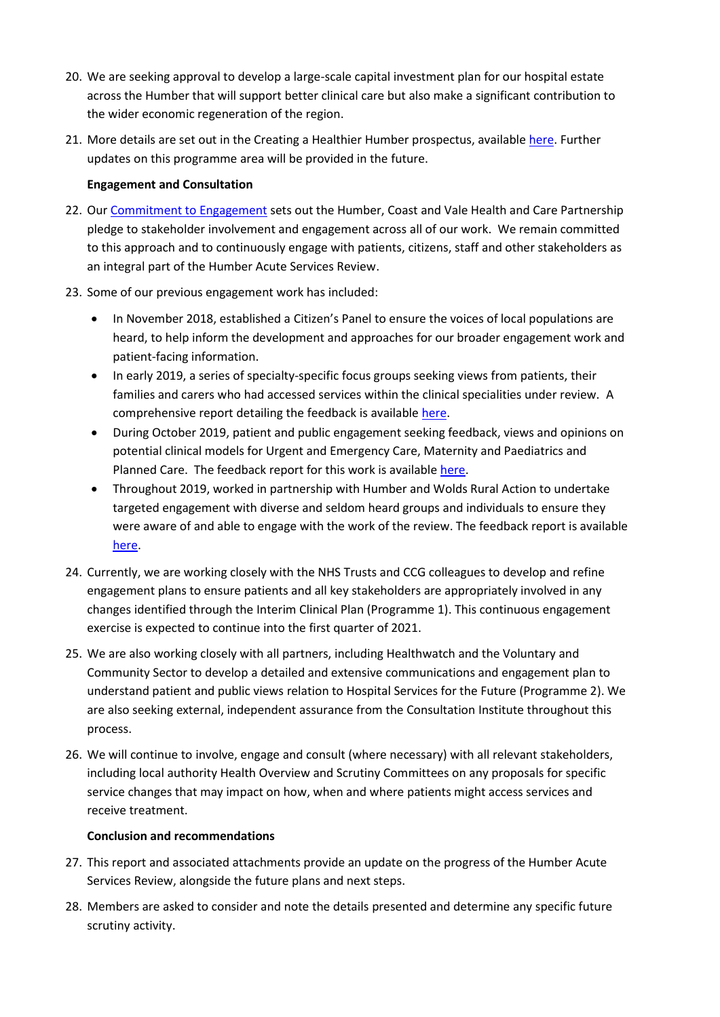- 20. We are seeking approval to develop a large-scale capital investment plan for our hospital estate across the Humber that will support better clinical care but also make a significant contribution to the wider economic regeneration of the region.
- 21. More details are set out in the Creating a Healthier Humber prospectus, availabl[e here.](https://humbercoastandvale.org.uk/wp-content/uploads/2020/05/HASR-Capital-Development.pdf) Further updates on this programme area will be provided in the future.

## **Engagement and Consultation**

- 22. Our [Commitment to Engagement](http://stp2017.th3testing.co.uk/wp-content/uploads/2017/08/hcv-our-commitment-to-engagement.pdf) sets out the Humber, Coast and Vale Health and Care Partnership pledge to stakeholder involvement and engagement across all of our work. We remain committed to this approach and to continuously engage with patients, citizens, staff and other stakeholders as an integral part of the Humber Acute Services Review.
- 23. Some of our previous engagement work has included:
	- In November 2018, established a Citizen's Panel to ensure the voices of local populations are heard, to help inform the development and approaches for our broader engagement work and patient-facing information.
	- In early 2019, a series of specialty-specific focus groups seeking views from patients, their families and carers who had accessed services within the clinical specialities under review. A comprehensive report detailing the feedback is availabl[e here.](https://humbercoastandvale.org.uk/wp-content/uploads/2019/04/Focus-Groups-Feedback-Report_final.pdf)
	- During October 2019, patient and public engagement seeking feedback, views and opinions on potential clinical models for Urgent and Emergency Care, Maternity and Paediatrics and Planned Care. The feedback report for this work is available [here.](https://humbercoastandvale.org.uk/wp-content/uploads/2020/02/HASR-Oct-2019-engagement-report_FINAL-1.pdf)
	- Throughout 2019, worked in partnership with Humber and Wolds Rural Action to undertake targeted engagement with diverse and seldom heard groups and individuals to ensure they were aware of and able to engage with the work of the review. The feedback report is available [here.](https://humbercoastandvale.org.uk/wp-content/uploads/2020/02/HWRA-Targeted-Engagement-report_final_11.02.20.pdf)
- 24. Currently, we are working closely with the NHS Trusts and CCG colleagues to develop and refine engagement plans to ensure patients and all key stakeholders are appropriately involved in any changes identified through the Interim Clinical Plan (Programme 1). This continuous engagement exercise is expected to continue into the first quarter of 2021.
- 25. We are also working closely with all partners, including Healthwatch and the Voluntary and Community Sector to develop a detailed and extensive communications and engagement plan to understand patient and public views relation to Hospital Services for the Future (Programme 2). We are also seeking external, independent assurance from the Consultation Institute throughout this process.
- 26. We will continue to involve, engage and consult (where necessary) with all relevant stakeholders, including local authority Health Overview and Scrutiny Committees on any proposals for specific service changes that may impact on how, when and where patients might access services and receive treatment.

# **Conclusion and recommendations**

- 27. This report and associated attachments provide an update on the progress of the Humber Acute Services Review, alongside the future plans and next steps.
- 28. Members are asked to consider and note the details presented and determine any specific future scrutiny activity.